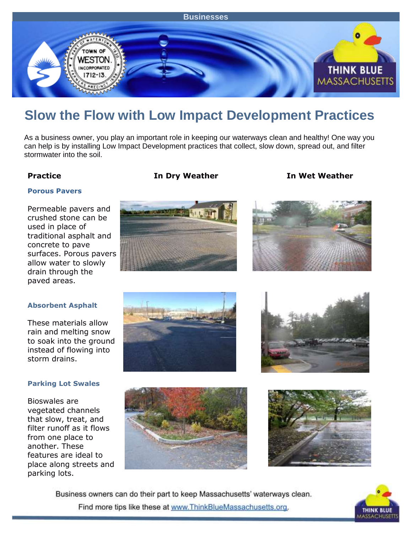

# **Slow the Flow with Low Impact Development Practices**

As a business owner, you play an important role in keeping our waterways clean and healthy! One way you can help is by installing Low Impact Development practices that collect, slow down, spread out, and filter stormwater into the soil.

**Practice In Dry Weather In Wet Weather**

### **Porous Pavers**

Permeable pavers and crushed stone can be used in place of traditional asphalt and concrete to pave surfaces. Porous pavers allow water to slowly drain through the paved areas.





### **Absorbent Asphalt**

These materials allow rain and melting snow to soak into the ground instead of flowing into storm drains.

### **Parking Lot Swales**

Bioswales are vegetated channels that slow, treat, and filter runoff as it flows from one place to another. These features are ideal to place along streets and parking lots.









Business owners can do their part to keep Massachusetts' waterways clean. Find more tips like these at www.ThinkBlueMassachusetts.org.